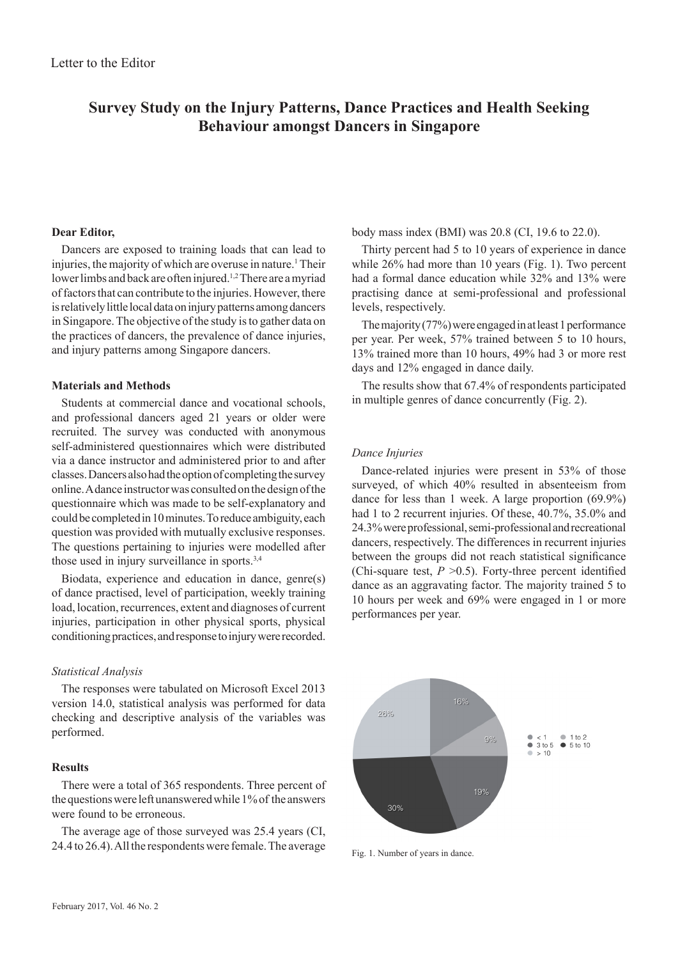# **Survey Study on the Injury Patterns, Dance Practices and Health Seeking Behaviour amongst Dancers in Singapore**

# **Dear Editor,**

Dancers are exposed to training loads that can lead to injuries, the majority of which are overuse in nature.<sup>1</sup> Their lower limbs and back are often injured.<sup>1,2</sup> There are a myriad of factors that can contribute to the injuries. However, there is relatively little local data on injury patterns among dancers in Singapore. The objective of the study is to gather data on the practices of dancers, the prevalence of dance injuries, and injury patterns among Singapore dancers.

# **Materials and Methods**

Students at commercial dance and vocational schools, and professional dancers aged 21 years or older were recruited. The survey was conducted with anonymous self-administered questionnaires which were distributed via a dance instructor and administered prior to and after classes. Dancers also had the option of completing the survey online. A dance instructor was consulted on the design of the questionnaire which was made to be self-explanatory and could be completed in 10 minutes. To reduce ambiguity, each question was provided with mutually exclusive responses. The questions pertaining to injuries were modelled after those used in injury surveillance in sports.3,4

Biodata, experience and education in dance, genre(s) of dance practised, level of participation, weekly training load, location, recurrences, extent and diagnoses of current injuries, participation in other physical sports, physical conditioning practices, and response to injury were recorded.

#### *Statistical Analysis*

The responses were tabulated on Microsoft Excel 2013 version 14.0, statistical analysis was performed for data checking and descriptive analysis of the variables was performed.

#### **Results**

There were a total of 365 respondents. Three percent of the questions were left unanswered while 1% of the answers were found to be erroneous.

The average age of those surveyed was 25.4 years (CI, 24.4 to 26.4). All the respondents were female. The average body mass index (BMI) was 20.8 (CI, 19.6 to 22.0).

Thirty percent had 5 to 10 years of experience in dance while 26% had more than 10 years (Fig. 1). Two percent had a formal dance education while 32% and 13% were practising dance at semi-professional and professional levels, respectively.

The majority (77%) were engaged in at least 1 performance per year. Per week, 57% trained between 5 to 10 hours, 13% trained more than 10 hours, 49% had 3 or more rest days and 12% engaged in dance daily.

The results show that 67.4% of respondents participated in multiple genres of dance concurrently (Fig. 2).

#### *Dance Injuries*

Dance-related injuries were present in 53% of those surveyed, of which 40% resulted in absenteeism from dance for less than 1 week. A large proportion (69.9%) had 1 to 2 recurrent injuries. Of these, 40.7%, 35.0% and 24.3% were professional, semi-professional and recreational dancers, respectively. The differences in recurrent injuries between the groups did not reach statistical significance (Chi-square test,  $P > 0.5$ ). Forty-three percent identified dance as an aggravating factor. The majority trained 5 to 10 hours per week and 69% were engaged in 1 or more performances per year.



Fig. 1. Number of years in dance.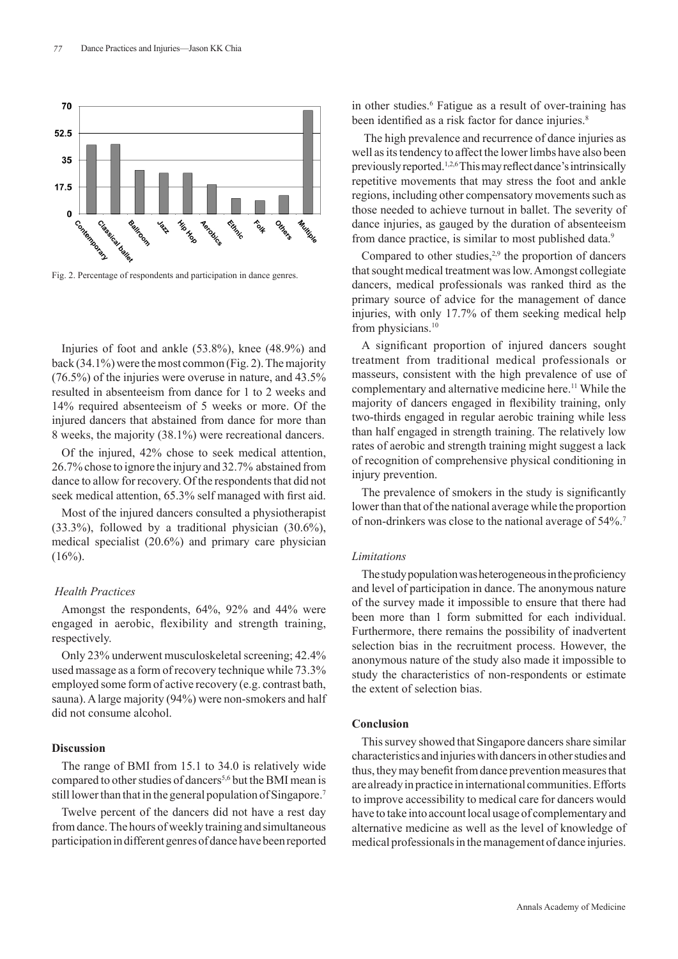

Fig. 2. Percentage of respondents and participation in dance genres.

Injuries of foot and ankle (53.8%), knee (48.9%) and back (34.1%) were the most common (Fig. 2). The majority (76.5%) of the injuries were overuse in nature, and 43.5% resulted in absenteeism from dance for 1 to 2 weeks and 14% required absenteeism of 5 weeks or more. Of the injured dancers that abstained from dance for more than 8 weeks, the majority (38.1%) were recreational dancers.

Of the injured, 42% chose to seek medical attention, 26.7% chose to ignore the injury and 32.7% abstained from dance to allow for recovery. Of the respondents that did not seek medical attention, 65.3% self managed with first aid.

Most of the injured dancers consulted a physiotherapist (33.3%), followed by a traditional physician (30.6%), medical specialist (20.6%) and primary care physician  $(16\%)$ .

# *Health Practices*

Amongst the respondents, 64%, 92% and 44% were engaged in aerobic, flexibility and strength training, respectively.

Only 23% underwent musculoskeletal screening; 42.4% used massage as a form of recovery technique while 73.3% employed some form of active recovery (e.g. contrast bath, sauna). A large majority (94%) were non-smokers and half did not consume alcohol.

# **Discussion**

The range of BMI from 15.1 to 34.0 is relatively wide compared to other studies of dancers<sup>5,6</sup> but the BMI mean is still lower than that in the general population of Singapore.<sup>7</sup>

Twelve percent of the dancers did not have a rest day from dance. The hours of weekly training and simultaneous participation in different genres of dance have been reported

in other studies.<sup>6</sup> Fatigue as a result of over-training has been identified as a risk factor for dance injuries.<sup>8</sup>

 The high prevalence and recurrence of dance injuries as well as its tendency to affect the lower limbs have also been previously reported.<sup>1,2,6</sup> This may reflect dance's intrinsically repetitive movements that may stress the foot and ankle regions, including other compensatory movements such as those needed to achieve turnout in ballet. The severity of dance injuries, as gauged by the duration of absenteeism from dance practice, is similar to most published data.<sup>9</sup>

Compared to other studies, $2.9$  the proportion of dancers that sought medical treatment was low. Amongst collegiate dancers, medical professionals was ranked third as the primary source of advice for the management of dance injuries, with only 17.7% of them seeking medical help from physicians.<sup>10</sup>

A significant proportion of injured dancers sought treatment from traditional medical professionals or masseurs, consistent with the high prevalence of use of complementary and alternative medicine here.<sup>11</sup> While the majority of dancers engaged in flexibility training, only two-thirds engaged in regular aerobic training while less than half engaged in strength training. The relatively low rates of aerobic and strength training might suggest a lack of recognition of comprehensive physical conditioning in injury prevention.

The prevalence of smokers in the study is significantly lower than that of the national average while the proportion of non-drinkers was close to the national average of 54%.7

# *Limitations*

The study population was heterogeneous in the proficiency and level of participation in dance. The anonymous nature of the survey made it impossible to ensure that there had been more than 1 form submitted for each individual. Furthermore, there remains the possibility of inadvertent selection bias in the recruitment process. However, the anonymous nature of the study also made it impossible to study the characteristics of non-respondents or estimate the extent of selection bias.

#### **Conclusion**

This survey showed that Singapore dancers share similar characteristics and injuries with dancers in other studies and thus, they may benefit from dance prevention measures that are already in practice in international communities. Efforts to improve accessibility to medical care for dancers would have to take into account local usage of complementary and alternative medicine as well as the level of knowledge of medical professionals in the management of dance injuries.